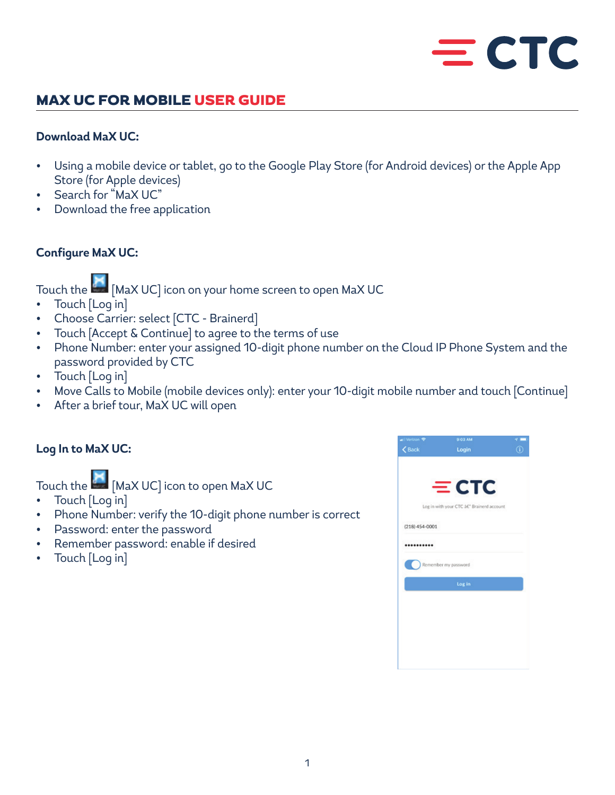# $=$  CTC

## MAX UC FOR MOBILE USER GUIDE

#### **Download MaX UC:**

- Using a mobile device or tablet, go to the Google Play Store (for Android devices) or the Apple App Store (for Apple devices)
- Search for "MaX UC"
- Download the free application

#### **Configure MaX UC:**

Touch the **EM** [MaX UC] icon on your home screen to open MaX UC

- Touch [Log in]
- Choose Carrier: select [CTC Brainerd]
- Touch [Accept & Continue] to agree to the terms of use
- Phone Number: enter your assigned 10-digit phone number on the Cloud IP Phone System and the password provided by CTC
- Touch [Log in]
- Move Calls to Mobile (mobile devices only): enter your 10-digit mobile number and touch [Continue]
- After a brief tour, MaX UC will open

### **Log In to MaX UC:**

Touch the  $\left| \frac{M}{M}\right|$  [MaX UC] icon to open MaX UC

- Touch [Log in]
- Phone Number: verify the 10-digit phone number is correct
- Password: enter the password
- Remember password: enable if desired
- Touch [Log in]

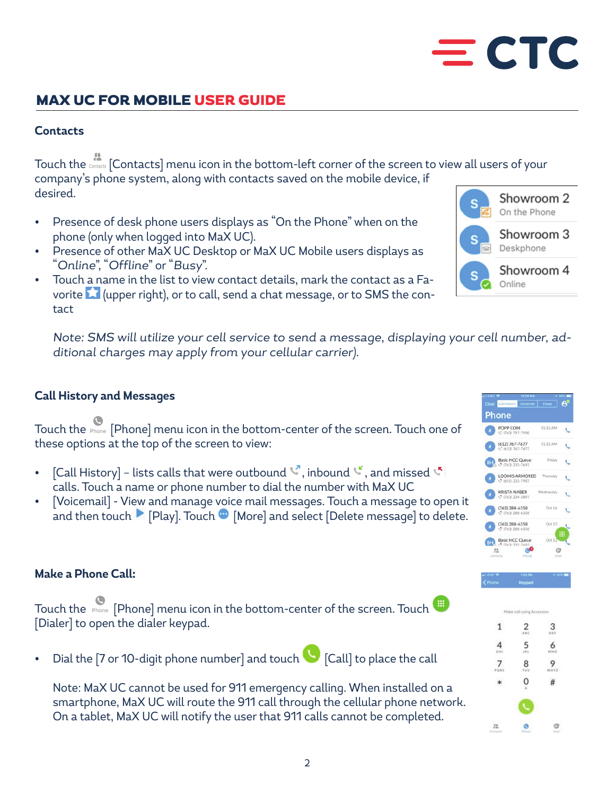# MAX UC FOR MOBILE USER GUIDE

## **Contacts**

Touch the [Contacts] menu icon in the bottom-left corner of the screen to view all users of your company's phone system, along with contacts saved on the mobile device, if desired.

- Presence of desk phone users displays as "On the Phone" when on the phone (only when logged into MaX UC).
- Presence of other MaX UC Desktop or MaX UC Mobile users displays as "Online", "Offline" or "Busy".
- Touch a name in the list to view contact details, mark the contact as a Favorite **1** (upper right), or to call, send a chat message, or to SMS the contact

Note: SMS will utilize your cell service to send a message, displaying your cell number, additional charges may apply from your cellular carrier).

## **Call History and Messages**

Touch the Phone] menu icon in the bottom-center of the screen. Touch one of these options at the top of the screen to view:

- [Call History] lists calls that were outbound  $\mathbb{C}$ , inbound  $\mathbb{C}$ , and missed  $\mathbb{C}$ calls. Touch a name or phone number to dial the number with MaX UC
- [Voicemail] View and manage voice mail messages. Touch a message to open it and then touch  $\blacksquare$  [Play]. Touch  $\blacksquare$  [More] and select [Delete message] to delete.

### **Make a Phone Call:**

|  | Touch the Phone   [Phone] menu icon in the bottom-center of the screen. Touch |  |
|--|-------------------------------------------------------------------------------|--|
|  | [Dialer] to open the dialer keypad.                                           |  |

• Dial the [7 or 10-digit phone number] and touch [Call] to place the call

Note: MaX UC cannot be used for 911 emergency calling. When installed on a smartphone, MaX UC will route the 911 call through the cellular phone network. On a tablet, MaX UC will notify the user that 911 calls cannot be completed.







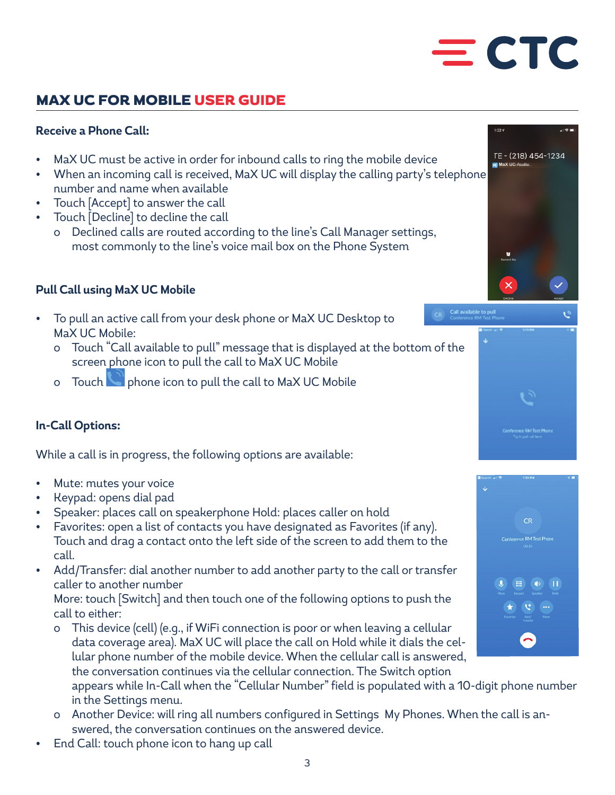# $=$  CTC

# MAX UC FOR MOBILE USER GUIDE

# **Receive a Phone Call:**

- MaX UC must be active in order for inbound calls to ring the mobile device
- When an incoming call is received, MaX UC will display the calling party's telephone number and name when available
- Touch [Accept] to answer the call
- Touch [Decline] to decline the call
	- o Declined calls are routed according to the line's Call Manager settings, most commonly to the line's voice mail box on the Phone System

# **Pull Call using MaX UC Mobile**

- To pull an active call from your desk phone or MaX UC Desktop to MaX UC Mobile:
	- o Touch "Call available to pull" message that is displayed at the bottom of the screen phone icon to pull the call to MaX UC Mobile
	- o Touch phone icon to pull the call to MaX UC Mobile

# **In-Call Options:**

While a call is in progress, the following options are available:

- Mute: mutes your voice
- Keypad: opens dial pad
- Speaker: places call on speakerphone Hold: places caller on hold
- Favorites: open a list of contacts you have designated as Favorites (if any). Touch and drag a contact onto the left side of the screen to add them to the call.
- Add/Transfer: dial another number to add another party to the call or transfer caller to another number

More: touch [Switch] and then touch one of the following options to push the call to either:

- o This device (cell) (e.g., if WiFi connection is poor or when leaving a cellular data coverage area). MaX UC will place the call on Hold while it dials the cellular phone number of the mobile device. When the cellular call is answered, the conversation continues via the cellular connection. The Switch option
	- appears while In-Call when the "Cellular Number" field is populated with a 10-digit phone number in the Settings menu.
- o Another Device: will ring all numbers configured in Settings My Phones. When the call is answered, the conversation continues on the answered device.
- End Call: touch phone icon to hang up call